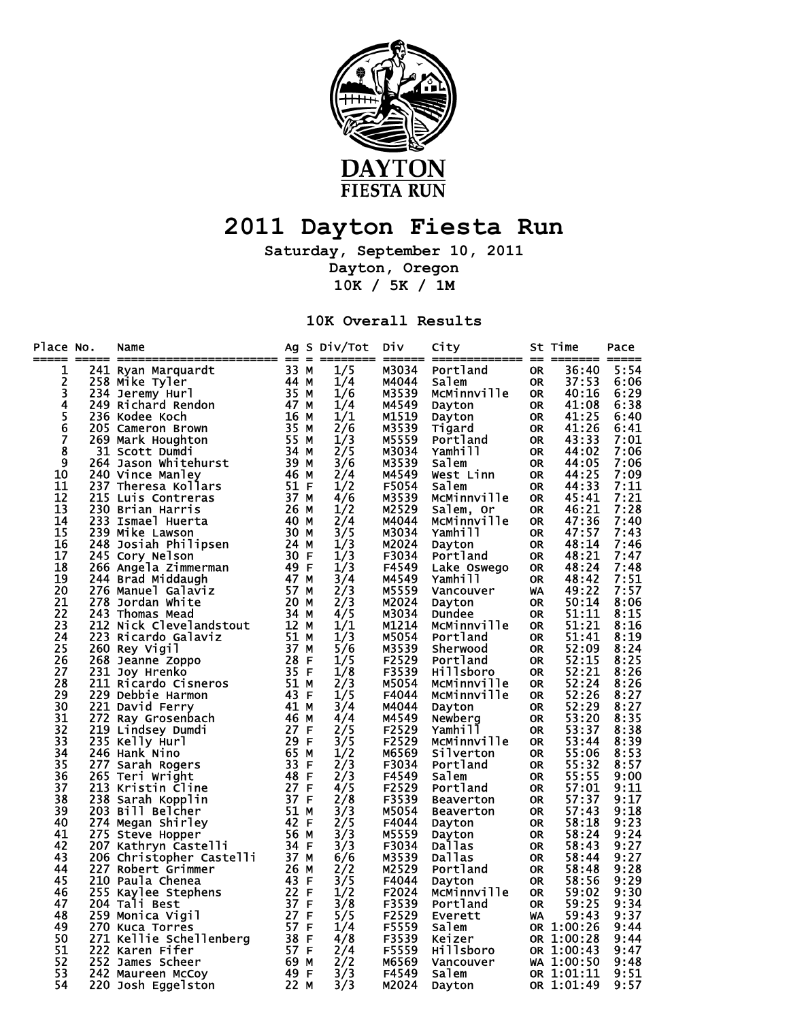

## **2011 Dayton Fiesta Run**

**Saturday, September 10, 2011 Dayton, Oregon 10K / 5K / 1M** 

**10K Overall Results** 

| Place No.          | Name                                                                                                                                                                                                                                                 |                   | Ag S Div/Tot | Div            | City               |           | St Time        | Pace |
|--------------------|------------------------------------------------------------------------------------------------------------------------------------------------------------------------------------------------------------------------------------------------------|-------------------|--------------|----------------|--------------------|-----------|----------------|------|
| 1                  | $\frac{1}{241}$ Nextriburn and all and the contract and the contract of the contract of the contract of the contract of the contract of the contract of the contract of the contract of the contract of the contract of the contr                    |                   | 1/5          | M3034          | Portland           | <b>OR</b> | 36:40          | 5:54 |
|                    |                                                                                                                                                                                                                                                      |                   | 1/4          | M4044          | Salem              | <b>OR</b> | 37:53          | 6:06 |
| 234567             |                                                                                                                                                                                                                                                      |                   | 1/6          | M3539          | MCMinnville        | OR        | 40:16          | 6:29 |
|                    |                                                                                                                                                                                                                                                      |                   | 1/4          | M4549          | Dayton             | 0R        | 41:08          | 6:38 |
|                    | 236 Kodee Koch                                                                                                                                                                                                                                       | 16 M              | 1/1          | M1519          | Dayton             | <b>OR</b> | 41:25          | 6:40 |
|                    | 205 Cameron Brown                                                                                                                                                                                                                                    | 35 M              | 2/6          | M3539          | Tigard             | <b>OR</b> | 41:26          | 6:41 |
|                    | 269 Mark Houghton                                                                                                                                                                                                                                    | 55 M              | 1/3          | M5559          | Portland           | 0R        | 43:33          | 7:01 |
| $\bar{\mathbf{8}}$ | 31 Scott Dumdi                                                                                                                                                                                                                                       | 34 M              | 2/5          | M3034          | Yamhill            | <b>OR</b> | 44:02          | 7:06 |
| 9                  | 264 Jason Whitehurst 39 M                                                                                                                                                                                                                            |                   | 3/6          | M3539          | Salem              | OR        | 44:05          | 7:06 |
| 10                 | 240 Vince Manley                                                                                                                                                                                                                                     | 46 M              | 2/4          | M4549          | West Linn          | <b>OR</b> | 44:25          | 7:09 |
| 11                 | 237 Theresa Kollars                                                                                                                                                                                                                                  | 51 F              | 1/2          | F5054          | Salem              | 0R        | 44:33          | 7:11 |
| 12                 | 215 Luis Contreras                                                                                                                                                                                                                                   |                   | 4/6          | M3539          | McMinnville        | <b>OR</b> | 45:41          | 7:21 |
| 13                 |                                                                                                                                                                                                                                                      | $\frac{37}{26}$ M | 1/2          | M2529          | Salem, Or          | 0R        | 46:21          | 7:28 |
| 14                 |                                                                                                                                                                                                                                                      |                   | 2/4          | M4044          | McMinnville        | 0R        | 47:36          | 7:40 |
| 15                 |                                                                                                                                                                                                                                                      |                   | 3/5          | M3034          | Yamhill            | 0R        | 47:57          | 7:43 |
| 16                 |                                                                                                                                                                                                                                                      |                   | 1/3          | M2024          | Dayton             | <b>OR</b> | 48:14          | 7:46 |
| 17                 |                                                                                                                                                                                                                                                      |                   | 1/3          | F3034          | Portland           | <b>OR</b> | 48:21          | 7:47 |
| 18                 |                                                                                                                                                                                                                                                      |                   | 1/3          | F4549          | Lake Oswego        | OR        | 48:24          | 7:48 |
| 19                 |                                                                                                                                                                                                                                                      |                   | 3/4          | M4549          |                    |           | 48:42          | 7:51 |
| 20                 | 266 Angela Zimmerman<br>244 Brad Middaugh 47 M<br>276 Manuel Galaviz 57 M<br>278 Jordan White 20 M                                                                                                                                                   |                   | 2/3          | M5559          | Yamhill            | 0R<br>WA  | 49:22          | 7:57 |
| 21                 |                                                                                                                                                                                                                                                      |                   | 2/3          | M2024          | Vancouver          |           | 50:14          | 8:06 |
| 22                 |                                                                                                                                                                                                                                                      |                   |              | M3034          | Dayton             | <b>OR</b> | 51:11          |      |
| 23                 |                                                                                                                                                                                                                                                      |                   | 4/5<br>1/1   | M1214          | Dundee             | <b>OR</b> | 51:21          | 8:15 |
|                    |                                                                                                                                                                                                                                                      |                   | 1/3          |                | McMinnville        | <b>OR</b> |                | 8:16 |
| 24<br>25           |                                                                                                                                                                                                                                                      |                   | 5/6          | M5054<br>M3539 | Portland           | OR        | 51:41<br>52:09 | 8:19 |
| 26                 | 278 Jordan White<br>243 Thomas Mead<br>212 Nick Clevelandstout<br>223 Ricardo Galaviz<br>226 Reanne Zoppo<br>268 Jeanne Zoppo<br>231 Joy Hrenko<br>211 Ricardo Cisneros<br>229 Debbie Harmon<br>221 David Ferry<br>221 David Ferry<br>272 Ray Grosen |                   |              | F2529          | Sherwood           | OR        | 52:15          | 8:24 |
|                    |                                                                                                                                                                                                                                                      |                   | 1/5          |                | Portland           | 0R        |                | 8:25 |
| 27                 |                                                                                                                                                                                                                                                      |                   | 1/8          | F3539          | Hillsboro          | <b>OR</b> | 52:21          | 8:26 |
| 28                 |                                                                                                                                                                                                                                                      |                   | 2/3          | M5054          | MCMinnville        | OR        | 52:24          | 8:26 |
| 29                 |                                                                                                                                                                                                                                                      |                   | 1/5          | F4044          | McMinnville        | 0R        | 52:26          | 8:27 |
| 30                 |                                                                                                                                                                                                                                                      |                   | 3/4          | M4044          | Dayton             | OR        | 52:29          | 8:27 |
| 31                 |                                                                                                                                                                                                                                                      |                   | 4/4          | M4549          | Newberg<br>Yamhill | <b>OR</b> | 53:20          | 8:35 |
| 32                 |                                                                                                                                                                                                                                                      |                   | 2/5          | F2529          |                    | <b>OR</b> | 53:37          | 8:38 |
| 33                 |                                                                                                                                                                                                                                                      |                   | 3/5          | F2529          | McMinnville        | <b>OR</b> | 53:44          | 8:39 |
| 34                 |                                                                                                                                                                                                                                                      |                   | 1/2          | M6569          | Silverton          | 0R        | 55:06          | 8:53 |
| 35                 |                                                                                                                                                                                                                                                      |                   | 2/3          | F3034          | Portland           | <b>OR</b> | 55:32          | 8:57 |
| 36                 |                                                                                                                                                                                                                                                      |                   | 2/3          | F4549          | Salem              | <b>OR</b> | 55:55          | 9:00 |
| 37                 |                                                                                                                                                                                                                                                      |                   | 4/5          | F2529          | Portland           | <b>OR</b> | 57:01          | 9:11 |
| 38                 | 234 Hank Nino<br>247 Sarah Rogers<br>265 Teri Wright<br>213 Kristin Cline<br>238 Sarah Kopplin<br>203 Bill Belcher<br>275 Sarah Kopplin<br>203 Bill Belcher<br>275 Steve Hopper<br>275 Steve Hopper<br>200 Christopher Castelli<br>206 Christopher C |                   | 2/8          | F3539          | Beaverton          | <b>OR</b> | 57:37          | 9:17 |
| 39                 |                                                                                                                                                                                                                                                      |                   | 3/3          | M5054          | Beaverton          | <b>OR</b> | 57:43          | 9:18 |
| 40                 |                                                                                                                                                                                                                                                      |                   | 2/5          | F4044          | Dayton             | <b>OR</b> | 58:18          | 9:23 |
| 41                 |                                                                                                                                                                                                                                                      |                   | 3/3          | M5559          | Dayton             | OR        | 58:24          | 9:24 |
| 42                 |                                                                                                                                                                                                                                                      |                   | 3/3          | F3034          | Dallas             | <b>OR</b> | 58:43          | 9:27 |
| 43                 |                                                                                                                                                                                                                                                      |                   | 6/6          | M3539          | Dallas             | <b>OR</b> | 58:44          | 9:27 |
| 44                 |                                                                                                                                                                                                                                                      |                   | 2/2          | M2529          | Portland           | OR        | 58:48          | 9:28 |
| 45                 |                                                                                                                                                                                                                                                      |                   | 3/5          | F4044          | Dayton             | OR        | 58:56          | 9:29 |
| 46                 |                                                                                                                                                                                                                                                      |                   | 1/2          | F2024          | McMinnville        | <b>OR</b> | 59:02          | 9:30 |
| 47                 | 204 Tali Best                                                                                                                                                                                                                                        | 37 F              | 3/8          | F3539          | Portland           | <b>OR</b> | 59:25          | 9:34 |
| 48                 | 259 Monica Vigil                                                                                                                                                                                                                                     | 27 F              | 5/5          | F2529          | Everett            | WA        | 59:43          | 9:37 |
| 49                 |                                                                                                                                                                                                                                                      |                   | 1/4          | F5559          | Salem              |           | OR 1:00:26     | 9:44 |
| 50                 |                                                                                                                                                                                                                                                      |                   | 4/8          | F3539          | Keizer             |           | OR 1:00:28     | 9:44 |
| 51                 |                                                                                                                                                                                                                                                      |                   | 2/4          | F5559          | Hillsboro          |           | OR 1:00:43     | 9:47 |
| 52                 | 252 James Scheer                                                                                                                                                                                                                                     | $69$ M<br>$49$ F  | 2/2          | M6569          | Vancouver          |           | WA 1:00:50     | 9:48 |
| 53                 | 242 Maureen McCoy                                                                                                                                                                                                                                    |                   | 3/3          | F4549          | Salem              |           | OR 1:01:11     | 9:51 |
| 54                 | 220 Josh Eggelston                                                                                                                                                                                                                                   | 22 M              | 3/3          | M2024          | Dayton             |           | OR 1:01:49     | 9:57 |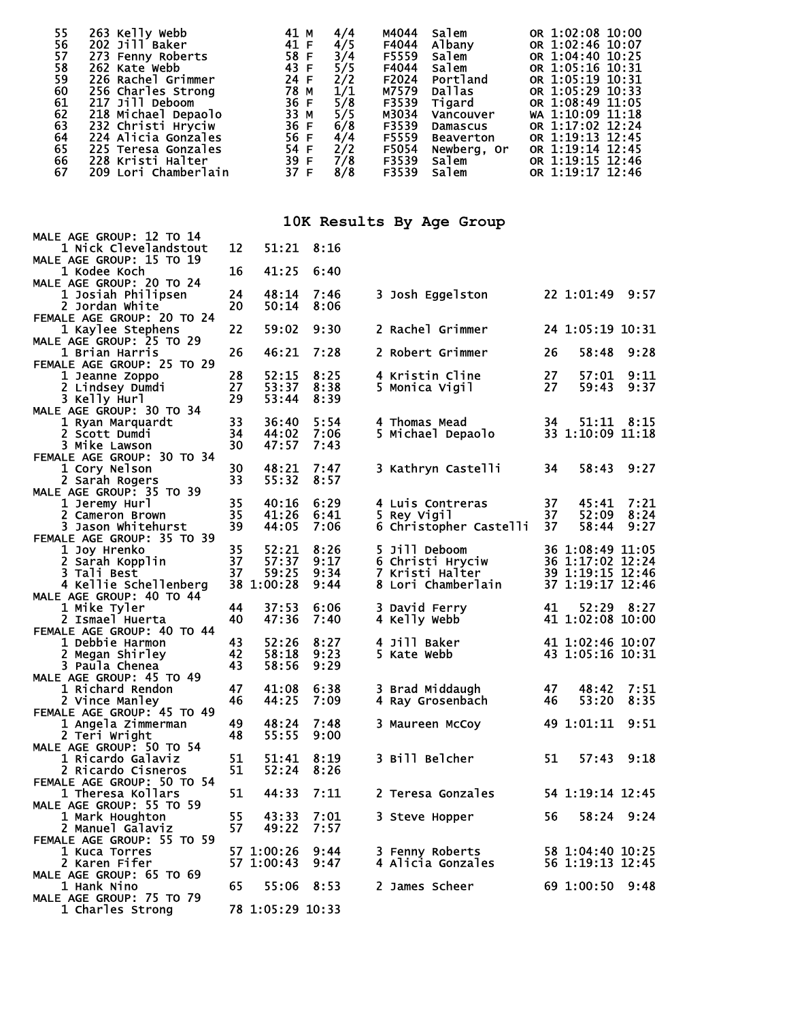| 55<br>263 Kelly Webb<br>56<br>202 Jill Baker<br>57<br>273 Fenny Roberts<br>58<br>262 Kate Webb<br>59<br>226 Rachel Grimmer<br>60<br>256 Charles Strong<br>61<br>217 Jill Deboom<br>62<br>218 Michael Depaolo<br>63<br>232 Christi Hryciw<br>64<br>224 Alicia Gonzales<br>65<br>225 Teresa Gonzales<br>66<br>228 Kristi Halter<br>67<br>209 Lori Chamberlain |          | 41 M<br>41 F<br>58 F<br>43 F<br>24 F<br>78 M<br>36 F<br>33 M<br>36 F<br>56 F<br>54 F<br>39 F<br>37 F | 4/4<br>4/5<br>3/4<br>5/5<br>2/2<br>1/1<br>5/8<br>5/5<br>6/8<br>4/4<br>2/2<br>7/8<br>8/8 | M4044<br>Salem<br>F4044<br>Albany<br>F5559<br>Salem<br>F4044<br>Salem<br>F2024<br>Portland<br>M7579<br><b>Dallas</b><br>F3539<br>Tigard<br>M3034<br>Vancouver<br>F3539<br>Damascus<br>F5559<br><b>Beaverton</b><br>F5054<br>Newberg, Or<br>F3539<br>Salem<br>F3539<br>Salem | OR 1:02:08 10:00<br>OR 1:02:46 10:07<br>OR 1:04:40 10:25<br>OR 1:05:16 10:31<br>OR 1:05:19 10:31<br>OR 1:05:29 10:33<br>OR 1:08:49 11:05<br>WA 1:10:09 11:18<br>OR 1:17:02 12:24<br>OR 1:19:13 12:45<br>OR 1:19:14 12:45<br>OR 1:19:15 12:46<br>OR 1:19:17 12:46 |
|-------------------------------------------------------------------------------------------------------------------------------------------------------------------------------------------------------------------------------------------------------------------------------------------------------------------------------------------------------------|----------|------------------------------------------------------------------------------------------------------|-----------------------------------------------------------------------------------------|-----------------------------------------------------------------------------------------------------------------------------------------------------------------------------------------------------------------------------------------------------------------------------|------------------------------------------------------------------------------------------------------------------------------------------------------------------------------------------------------------------------------------------------------------------|
|                                                                                                                                                                                                                                                                                                                                                             |          |                                                                                                      |                                                                                         | 10K Results By Age Group                                                                                                                                                                                                                                                    |                                                                                                                                                                                                                                                                  |
| <b>MALE AGE GROUP: 12 TO 14</b><br>1 Nick Clevelandstout                                                                                                                                                                                                                                                                                                    | 12       | 51:21                                                                                                | 8:16                                                                                    |                                                                                                                                                                                                                                                                             |                                                                                                                                                                                                                                                                  |
| MALE AGE GROUP: 15 TO 19<br>1 Kodee Koch                                                                                                                                                                                                                                                                                                                    | 16       | 41:25                                                                                                | 6:40                                                                                    |                                                                                                                                                                                                                                                                             |                                                                                                                                                                                                                                                                  |
| <b>MALE AGE GROUP: 20 TO 24</b><br>1 Josiah Philipsen                                                                                                                                                                                                                                                                                                       | 24       | 48:14                                                                                                | 7:46                                                                                    | 3 Josh Eggelston                                                                                                                                                                                                                                                            | 22 1:01:49 9:57                                                                                                                                                                                                                                                  |
| 2 Jordan White<br>FEMALE AGE GROUP: 20 TO 24                                                                                                                                                                                                                                                                                                                | 20       | 50:14                                                                                                | 8:06                                                                                    |                                                                                                                                                                                                                                                                             |                                                                                                                                                                                                                                                                  |
| 1 Kaylee Stephens<br><b>MALE AGE GROUP: 25 TO 29</b>                                                                                                                                                                                                                                                                                                        | 22       | 59:02                                                                                                | 9:30                                                                                    | 2 Rachel Grimmer                                                                                                                                                                                                                                                            | 24 1:05:19 10:31                                                                                                                                                                                                                                                 |
| 1 Brian Harris                                                                                                                                                                                                                                                                                                                                              | 26       | 46:21                                                                                                | 7:28                                                                                    | 2 Robert Grimmer                                                                                                                                                                                                                                                            | 26<br>58:48<br>9:28                                                                                                                                                                                                                                              |
| FEMALE AGE GROUP: 25 TO 29<br>1 Jeanne Zoppo                                                                                                                                                                                                                                                                                                                | 28       | 52:15                                                                                                | 8:25                                                                                    | 4 Kristin Cline                                                                                                                                                                                                                                                             | 27<br>57:01<br>9:11                                                                                                                                                                                                                                              |
| 2 Lindsey Dumdi<br>3 Kelly Hurl                                                                                                                                                                                                                                                                                                                             | 27<br>29 | 53:37<br>53:44                                                                                       | 8:38<br>8:39                                                                            | 5 Monica Vigil                                                                                                                                                                                                                                                              | 27<br>59:43<br>9:37                                                                                                                                                                                                                                              |
| <b>MALE AGE GROUP: 30 TO 34</b><br>1 Ryan Marquardt                                                                                                                                                                                                                                                                                                         | 33       | 36:40                                                                                                | 5:54                                                                                    | 4 Thomas Mead                                                                                                                                                                                                                                                               | 34<br>51:11 8:15                                                                                                                                                                                                                                                 |
| 2 Scott Dumdi<br>3 Mike Lawson                                                                                                                                                                                                                                                                                                                              | 34<br>30 | 44:02<br>47:57                                                                                       | 7:06<br>7:43                                                                            | 5 Michael Depaolo                                                                                                                                                                                                                                                           | 33 1:10:09 11:18                                                                                                                                                                                                                                                 |
| FEMALE AGE GROUP: 30 TO 34                                                                                                                                                                                                                                                                                                                                  |          |                                                                                                      |                                                                                         |                                                                                                                                                                                                                                                                             |                                                                                                                                                                                                                                                                  |
| 1 Cory Nelson<br>2 Sarah Rogers                                                                                                                                                                                                                                                                                                                             | 30<br>33 | 48:21<br>55:32                                                                                       | 7:47<br>8:57                                                                            | 3 Kathryn Castelli                                                                                                                                                                                                                                                          | 34<br>58:43<br>9:27                                                                                                                                                                                                                                              |
| MALE AGE GROUP: 35 TO 39<br>1 Jeremy Hurl                                                                                                                                                                                                                                                                                                                   | 35       | 40:16                                                                                                | 6:29                                                                                    | 4 Luis Contreras                                                                                                                                                                                                                                                            | 37<br>45:41<br>7:21                                                                                                                                                                                                                                              |
| 2 Cameron Brown                                                                                                                                                                                                                                                                                                                                             | 35       | 41:26                                                                                                | 6:41                                                                                    | 5 Rey Vigil                                                                                                                                                                                                                                                                 | 37<br>52:09<br>8:24                                                                                                                                                                                                                                              |
| 3 Jason Whitehurst<br>FEMALE AGE GROUP: 35 TO 39                                                                                                                                                                                                                                                                                                            | 39       | 44:05                                                                                                | 7:06                                                                                    | 6 Christopher Castelli                                                                                                                                                                                                                                                      | 37<br>58:44<br>9:27                                                                                                                                                                                                                                              |
| 1 Joy Hrenko<br>2 Sarah Kopplin                                                                                                                                                                                                                                                                                                                             | 35<br>37 | 52:21<br>57:37                                                                                       | 8:26<br>9:17                                                                            | 5 Jill Deboom<br>6 Christi Hryciw                                                                                                                                                                                                                                           | 36 1:08:49 11:05<br>36 1:17:02 12:24                                                                                                                                                                                                                             |
| 3 Tali Best                                                                                                                                                                                                                                                                                                                                                 | 37       | 59:25                                                                                                | 9:34                                                                                    | 7 Kristi Halter                                                                                                                                                                                                                                                             | 39 1:19:15 12:46                                                                                                                                                                                                                                                 |
| 4 Kellie Schellenberg<br>MALE AGE GROUP: 40 TO 44                                                                                                                                                                                                                                                                                                           |          | 38 1:00:28                                                                                           | 9:44                                                                                    | 8 Lori Chamberlain                                                                                                                                                                                                                                                          | 37 1:19:17 12:46                                                                                                                                                                                                                                                 |
| 1 Mike Tyler                                                                                                                                                                                                                                                                                                                                                | 44       |                                                                                                      | 37:53 6:06                                                                              | 3 David Ferry                                                                                                                                                                                                                                                               | 41 52:29 8:27                                                                                                                                                                                                                                                    |
| 2 Ismael Huerta<br>FEMALE AGE GROUP: 40 TO 44                                                                                                                                                                                                                                                                                                               | 40       | 47:36                                                                                                | 7:40                                                                                    | 4 Kelly Webb                                                                                                                                                                                                                                                                | 41 1:02:08 10:00                                                                                                                                                                                                                                                 |
| 1 Debbie Harmon                                                                                                                                                                                                                                                                                                                                             | 43       | 52:26                                                                                                | 8:27                                                                                    | 4 Jill Baker                                                                                                                                                                                                                                                                | 41 1:02:46 10:07                                                                                                                                                                                                                                                 |
| 2 Megan Shirley<br>3 Paula Chenea                                                                                                                                                                                                                                                                                                                           | 42<br>43 | 58:18<br>58:56                                                                                       | 9:23<br>9:29                                                                            | 5 Kate Webb                                                                                                                                                                                                                                                                 | 43 1:05:16 10:31                                                                                                                                                                                                                                                 |
| <b>MALE AGE GROUP: 45 TO 49</b>                                                                                                                                                                                                                                                                                                                             |          |                                                                                                      |                                                                                         |                                                                                                                                                                                                                                                                             |                                                                                                                                                                                                                                                                  |
| 1 Richard Rendon<br>2 Vince Manley                                                                                                                                                                                                                                                                                                                          | 47<br>46 | 41:08<br>44:25                                                                                       | 6:38<br>7:09                                                                            | 3 Brad Middaugh<br>4 Ray Grosenbach                                                                                                                                                                                                                                         | 48:42<br>7:51<br>47<br>53:20<br>8:35<br>46                                                                                                                                                                                                                       |
| FEMALE AGE GROUP: 45 TO 49                                                                                                                                                                                                                                                                                                                                  |          |                                                                                                      |                                                                                         |                                                                                                                                                                                                                                                                             |                                                                                                                                                                                                                                                                  |
| 1 Angela Zimmerman<br>2 Teri Wright                                                                                                                                                                                                                                                                                                                         | 49<br>48 | 48:24<br>55:55                                                                                       | 7:48<br>9:00                                                                            | 3 Maureen McCoy                                                                                                                                                                                                                                                             | 49 1:01:11<br>9:51                                                                                                                                                                                                                                               |
| <b>MALE AGE GROUP: 50 TO 54</b>                                                                                                                                                                                                                                                                                                                             |          |                                                                                                      |                                                                                         |                                                                                                                                                                                                                                                                             |                                                                                                                                                                                                                                                                  |
| 1 Ricardo Galaviz<br>2 Ricardo Cisneros                                                                                                                                                                                                                                                                                                                     | 51<br>51 | 51:41<br>52:24                                                                                       | 8:19<br>8:26                                                                            | 3 Bill Belcher                                                                                                                                                                                                                                                              | 51<br>57:43 9:18                                                                                                                                                                                                                                                 |
| FEMALE AGE GROUP: 50 TO 54                                                                                                                                                                                                                                                                                                                                  | 51       | 44:33                                                                                                | 7:11                                                                                    | 2 Teresa Gonzales                                                                                                                                                                                                                                                           |                                                                                                                                                                                                                                                                  |
| 1 Theresa Kollars<br>MALE AGE GROUP: 55 TO 59                                                                                                                                                                                                                                                                                                               |          |                                                                                                      |                                                                                         |                                                                                                                                                                                                                                                                             | 54 1:19:14 12:45                                                                                                                                                                                                                                                 |
| 1 Mark Houghton<br>2 Manuel Galaviz                                                                                                                                                                                                                                                                                                                         | 55<br>57 | 43:33<br>49:22                                                                                       | 7:01<br>7:57                                                                            | 3 Steve Hopper                                                                                                                                                                                                                                                              | 58:24 9:24<br>56                                                                                                                                                                                                                                                 |
| FEMALE AGE GROUP: 55 TO 59                                                                                                                                                                                                                                                                                                                                  |          |                                                                                                      |                                                                                         |                                                                                                                                                                                                                                                                             |                                                                                                                                                                                                                                                                  |
| 1 Kuca Torres<br>2 Karen Fifer                                                                                                                                                                                                                                                                                                                              |          | 57 1:00:26<br>57 1:00:43                                                                             | 9:44<br>9:47                                                                            | 3 Fenny Roberts<br>4 Alicia Gonzales                                                                                                                                                                                                                                        | 58 1:04:40 10:25<br>56 1:19:13 12:45                                                                                                                                                                                                                             |
| MALE AGE GROUP: 65 TO 69                                                                                                                                                                                                                                                                                                                                    |          |                                                                                                      |                                                                                         |                                                                                                                                                                                                                                                                             |                                                                                                                                                                                                                                                                  |
| 1 Hank Nino<br><b>MALE AGE GROUP: 75 TO 79</b>                                                                                                                                                                                                                                                                                                              | 65       | 55:06                                                                                                | 8:53                                                                                    | 2 James Scheer                                                                                                                                                                                                                                                              | 69 1:00:50<br>9:48                                                                                                                                                                                                                                               |
| 1 Charles Strong                                                                                                                                                                                                                                                                                                                                            |          | 78 1:05:29 10:33                                                                                     |                                                                                         |                                                                                                                                                                                                                                                                             |                                                                                                                                                                                                                                                                  |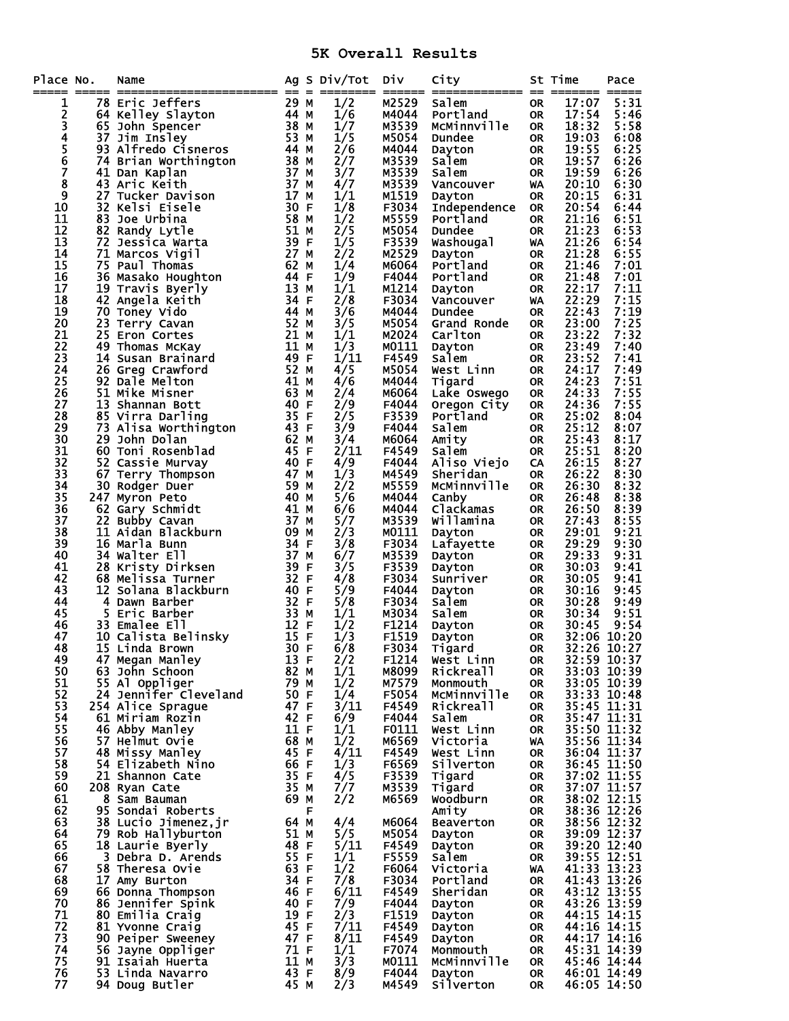## **5K Overall Results**

| Place No.<br>===== |   | Name                                      |              |   | Ag S Div/Tot | Div<br>======  | City<br>============= == ======= ===== |                        | St Time        | Pace                       |
|--------------------|---|-------------------------------------------|--------------|---|--------------|----------------|----------------------------------------|------------------------|----------------|----------------------------|
| 1                  |   | 78 Eric Jeffers                           | 29 M         |   | 1/2          | M2529          | Salem                                  | 0R                     | 17:07          | 5:31                       |
| 2                  |   | 64 Kelley Slayton                         | 44 M         |   | 1/6          | M4044          | Portland                               | <b>OR</b>              | 17:54          | 5:46                       |
|                    |   | 65 John Spencer                           | 38 M         |   | 1/7          | M3539          | McMinnville                            | <b>OR</b>              | 18:32          | 5:58                       |
| 34567              |   | 37 Jim Insley                             | 53 M         |   | 1/5          | M5054          | Dundee                                 | 0R                     | 19:03          | 6:08                       |
|                    |   | 93 Alfredo Cisneros                       | 44 M         |   | 2/6          | M4044          | Dayton                                 | <b>OR</b>              | 19:55          | 6:25                       |
|                    |   | 74 Brian Worthington                      | 38 M         |   | 2/7          | M3539          | Salem                                  | <b>OR</b>              | 19:57          | 6:26                       |
| 8                  |   | 41 Dan Kaplan                             | 37 M         |   | 3/7          | M3539          | Salem                                  | 0R                     | 19:59          | 6:26                       |
| 9                  |   | 43 Aric Keith<br>27 Tucker Davison        | 37 M<br>17 M |   | 4/7<br>1/1   | M3539<br>M1519 | Vancouver                              | WA<br><b>OR</b>        | 20:10<br>20:15 | 6:30<br>6:31               |
| 10                 |   | 32 Kelsi Eisele                           | 30 F         |   | 1/8          | F3034          | Dayton<br><b>Independence</b>          | <b>OR</b>              | 20:54          | 6:44                       |
| 11                 |   | 83 Joe Urbina                             | 58 M         |   | 1/2          | M5559          | Portland                               | 0R                     | 21:16          | 6:51                       |
| 12                 |   | 82 Randy Lytle                            | 51 M         |   | 2/5          | M5054          | <b>Dundee</b>                          | <b>OR</b>              | 21:23          | 6:53                       |
| 13                 |   | 72 Jessica Warta                          | 39 F         |   | 1/5          | F3539          | Washougal                              | WA                     | 21:26          | 6:54                       |
| 14                 |   | 71 Marcos Vigil                           | 27 M         |   | 2/2          | M2529          | Dayton                                 | <b>OR</b>              | 21:28          | 6:55                       |
| 15                 |   | 75 Paul Thomas                            | 62 M         |   | 1/4          | M6064          | Portland                               | <b>OR</b>              | 21:46          | 7:01                       |
| 16                 |   | 36 Masako Houghton                        | 44 F         |   | 1/9          | F4044          | Portland                               | <b>OR</b>              | 21:48          | 7:01                       |
| 17                 |   | 19 Travis Byerly                          | 13 M         |   | 1/1          | M1214          | Dayton                                 | <b>OR</b>              | 22:17          | 7:11                       |
| 18                 |   | 42 Angela Keith                           | 34 F         |   | 2/8          | F3034          | Vancouver                              | WA                     | 22:29          | 7:15                       |
| 19<br>20           |   | 70 Toney Vido<br>23 Terry Cavan           | 44 M<br>52 M |   | 3/6<br>3/5   | M4044<br>M5054 | Dundee<br>Grand Ronde                  | 0R<br><b>OR</b>        | 22:43<br>23:00 | 7:19<br>7:25               |
| 21                 |   | 25 Eron Cortes                            | 21 M         |   | 1/1          | M2024          | Carlton                                | 0R                     | 23:22          | 7:32                       |
| 22                 |   | 49 Thomas McKay                           | 11 M         |   | 1/3          | M0111          | Dayton                                 | <b>OR</b>              | 23:49          | 7:40                       |
| 23                 |   | 14 Susan Brainard                         | 49 F         |   | 1/11         | F4549          | Salem                                  | 0R                     | 23:52          | 7:41                       |
| 24                 |   | 26 Greg Crawford                          | 52 M         |   | 4/5          | M5054          | West Linn                              | <b>OR</b>              | 24:17          | 7:49                       |
| 25                 |   | 92 Dale Melton                            | 41 M         |   | 4/6          | M4044          | Tigard                                 | <b>OR</b>              | 24:23          | 7:51                       |
| 26                 |   | 51 Mike Misner                            | 63 M         |   | 2/4          | M6064          | Lake Oswego                            | <b>OR</b>              | 24:33          | 7:55                       |
| 27                 |   | 13 Shannan Bott                           | 40 F         |   | 2/9          | F4044          | Oregon City                            | <b>OR</b>              | 24:36          | 7:55                       |
| 28                 |   | 85 Virra Darling                          | 35 F         |   | 2/5          | F3539          | Portland                               | <b>OR</b>              | 25:02          | 8:04                       |
| 29                 |   | 73 Alisa Worthington                      | 43 F         |   | 3/9          | F4044          | Salem                                  | <b>OR</b>              | 25:12          | 8:07                       |
| 30<br>31           |   | 29 John Dolan                             | 62 M<br>45 F |   | 3/4          | M6064<br>F4549 | Amity<br>Salem                         | <b>OR</b>              | 25:43          | 8:17                       |
| 32                 |   | 60 Toni Rosenblad<br>52 Cassie Murvay     | 40 F         |   | 2/11<br>4/9  | F4044          | Aliso Viejo                            | <b>OR</b><br>CA        | 25:51<br>26:15 | 8:20<br>8:27               |
| 33                 |   | 67 Terry Thompson                         | 47 M         |   | 1/3          | M4549          | Sheridan                               | <b>OR</b>              | 26:22          | 8:30                       |
| 34                 |   | 30 Rodger Duer                            | 59 M         |   | 2/2          | M5559          | McMinnville                            | <b>OR</b>              | 26:30          | 8:32                       |
| 35                 |   | 247 Myron Peto                            | 40 M         |   | 5/6          | M4044          | Canby                                  | <b>OR</b>              | 26:48          | 8:38                       |
| 36                 |   | 62 Gary Schmidt                           | 41 M         |   | 6/6          | M4044          | Clackamas                              | <b>OR</b>              | 26:50          | 8:39                       |
| 37                 |   | 22 Bubby Cavan                            | 37 M         |   | 5/7          | M3539          | Willamina                              | <b>OR</b>              | 27:43          | 8:55                       |
| 38                 |   | 11 Aidan Blackburn                        | 09 M         |   | 2/3          | M0111          | Dayton                                 | <b>OR</b>              | 29:01          | 9:21                       |
| 39                 |   | 16 Marla Bunn                             | 34 F         |   | 3/8          | F3034          | Lafayette                              | <b>OR</b>              | 29:29          | 9:30                       |
| 40                 |   | 34 Walter Ell                             | 37 M         |   | 6/7          | M3539          | Dayton                                 | <b>OR</b>              | 29:33          | 9:31                       |
| 41<br>42           |   | 28 Kristy Dirksen<br>68 Melissa Turner    | 39 F<br>32 F |   | 3/5<br>4/8   | F3539<br>F3034 | Dayton<br>Sunriver                     | <b>OR</b><br><b>OR</b> | 30:03<br>30:05 | 9:41<br>9:41               |
| 43                 |   | 12 Solana Blackburn                       | 40 F         |   | 5/9          | F4044          | Dayton                                 | <b>OR</b>              | 30:16          | 9:45                       |
| 44                 | 4 | Dawn Barber                               | 32 F         |   | 5/8          | F3034          | Salem                                  | <b>OR</b>              | 30:28          | 9:49                       |
| 45                 |   | 5 Eric Barber                             | 33 M         |   | 1/1          | M3034          | Salem                                  | <b>OR</b>              | 30:34          | 9:51                       |
| 46                 |   | 33 Emalee Ell                             | 12 F         |   | 1/2          | F1214          | Dayton                                 | <b>OR</b>              | 30:45          | 9:54                       |
| 47                 |   | 10 Calista Belinsky                       | 15 F         |   | 1/3          | F1519          | Dayton                                 | 0R                     |                | 32:06 10:20                |
| 48                 |   | 15 Linda Brown                            | 30 F         |   | 6/8          | F3034          | Tigard                                 | <b>OR</b>              |                | 32:26 10:27                |
| 49                 |   | 47 Megan Manley                           | 13 F         |   | 2/2          | F1214          | West Linn                              | <b>OR</b>              |                | 32:59 10:37                |
| 50                 |   | 63 John Schoon                            | 82 M         |   | 1/1          | M8099          | Rickreall                              | <b>OR</b>              |                | 33:03 10:39                |
| 51<br>52           |   | 55 Al Oppliger<br>24 Jennifer Cleveland   | 79 M<br>50 F |   | 1/2<br>1/4   | M7579<br>F5054 | Monmouth<br>MCMinnville                | <b>OR</b><br><b>OR</b> |                | 33:05 10:39<br>33:33 10:48 |
| 53                 |   | 254 Alice Sprague                         | 47 F         |   | 3/11         | F4549          | Rickreall                              | 0R                     |                | 35:45 11:31                |
| 54                 |   | 61 Miriam Rozin                           | 42 F         |   | 6/9          | F4044          | Salem                                  | <b>OR</b>              |                | 35:47 11:31                |
| 55                 |   | 46 Abby Manley                            | 11 F         |   | 1/1          | F0111          | West Linn                              | 0R                     |                | 35:50 11:32                |
| 56                 |   | 57 Helmut Ovie                            | 68 M         |   | 1/2          | M6569          | Victoria                               | WA                     |                | 35:56 11:34                |
| 57                 |   | 48 Missy Manley                           | 45 F         |   | 4/11         | F4549          | West Linn                              | <b>OR</b>              |                | 36:04 11:37                |
| 58                 |   | 54 Elizabeth Nino                         | 66 F         |   | 1/3          | F6569          | Silverton                              | <b>OR</b>              |                | 36:45 11:50                |
| 59                 |   | 21 Shannon Cate                           | 35 F         |   | 4/5          | F3539          | Tigard                                 | 0R                     |                | 37:02 11:55                |
| 60                 |   | 208 Ryan Cate                             | 35 M         |   | 7/7          | M3539          | Tigard                                 | <b>OR</b>              |                | 37:07 11:57                |
| 61<br>62           |   | 8 Sam Bauman                              | 69 M         | F | 2/2          | M6569          | Woodburn                               | 0R                     |                | 38:02 12:15<br>38:36 12:26 |
| 63                 |   | 95 Sondai Roberts<br>38 Lucio Jimenez, jr | 64 M         |   | 4/4          | M6064          | Amity<br>Beaverton                     | <b>OR</b><br><b>OR</b> |                | 38:56 12:32                |
| 64                 |   | 79 Rob Hallyburton                        | 51 M         |   | 5/5          | M5054          | Dayton                                 | <b>OR</b>              |                | 39:09 12:37                |
| 65                 |   | 18 Laurie Byerly                          | 48 F         |   | 5/11         | F4549          | Dayton                                 | 0R                     |                | 39:20 12:40                |
| 66                 |   | 3 Debra D. Arends                         | 55 F         |   | 1/1          | F5559          | Salem                                  | <b>OR</b>              |                | 39:55 12:51                |
| 67                 |   | 58 Theresa Ovie                           | 63 F         |   | 1/2          | F6064          | Victoria                               | WA                     |                | 41:33 13:23                |
| 68                 |   | 17 Amy Burton                             | 34 F         |   | 7/8          | F3034          | Portland                               | <b>OR</b>              |                | 41:43 13:26                |
| 69                 |   | 66 Donna Thompson                         | 46 F         |   | 6/11         | F4549          | Sheridan                               | 0R                     |                | 43:12 13:55                |
| 70                 |   | 86 Jennifer Spink                         | 40 F         |   | 7/9          | F4044          | Dayton                                 | 0R                     |                | 43:26 13:59                |
| 71                 |   | 80 Emilia Craig                           | 19 F         |   | 2/3          | F1519          | Dayton                                 | 0R                     |                | 44:15 14:15                |
| 72                 |   | 81 Yvonne Craig                           | 45 F         |   | 7/11         | F4549          | Dayton                                 | 0R                     |                | 44:16 14:15                |
| 73<br>74           |   | 90 Peiper Sweeney                         | 47 F<br>71 F |   | 8/11         | F4549<br>F7074 | Dayton                                 | 0R                     |                | 44:17 14:16<br>45:31 14:39 |
| 75                 |   | 56 Jayne Oppliger<br>91 Isaiah Huerta     | 11 M         |   | 1/1<br>3/3   | M0111          | Monmouth<br>McMinnville                | <b>OR</b><br>0R        |                | 45:46 14:44                |
| 76                 |   | 53 Linda Navarro                          | 43 F         |   | 8/9          | F4044          | Dayton                                 | <b>OR</b>              |                | 46:01 14:49                |
| 77                 |   | 94 Doug Butler                            | 45 M         |   | 2/3          | M4549          | Silverton                              | 0R                     |                | 46:05 14:50                |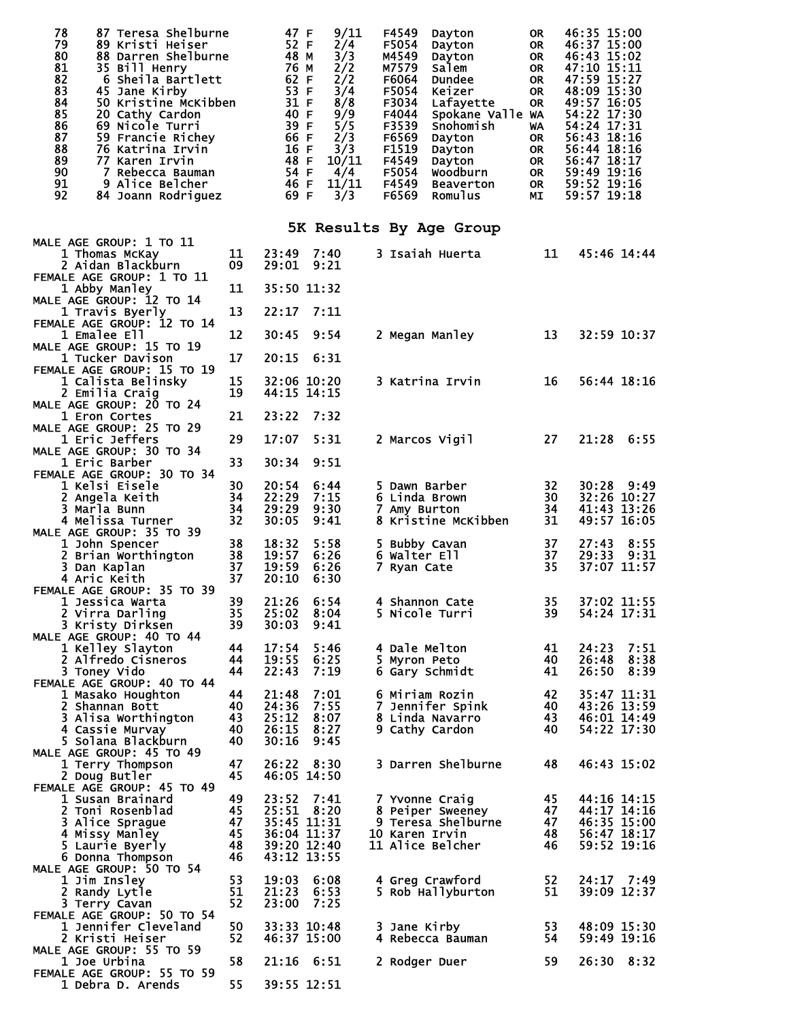| 78<br>87 Teresa Shelburne<br>79<br>89 Kristi Heiser<br>80<br>88 Darren Shelburne<br>$\overline{81}$<br>35 Bill Henry<br>$rac{8}{83}$<br>6 Sheila Bartlett<br>45 Jane Kirby<br>84<br>50 Kristine McKibben<br>85<br>20 Cathy Cardon<br>86<br>69 Nicole Turri<br>87<br>59 Francie Richey<br>88<br>76 Katrina Irvin<br>89<br>77 Karen Irvin<br>90<br>7 Rebecca Bauman<br>91<br>9 Alice Belcher<br>92<br>84 Joann Rodriguez |                | 47 F<br>52 F<br>48 M<br>76 M<br>62 F<br>53 F<br>31 F<br>40 F<br>39 F<br>66 F<br>16 F<br>48 F<br>54 F<br>46 F<br>69 F | 9/11<br>2/4<br>3/3<br>2/2<br>2/2<br>3/4<br>8/8<br>$\frac{9}{9}$<br>$\frac{1}{9}$<br>2/3<br>3/3<br>10/11<br>4/4<br>11/11<br>3/3 | F4549<br>F5054<br>M4549<br>M7579<br>F6064<br>F5054<br>F3034<br>F4044<br>F3539<br>F6569<br>F1519<br>F4549<br>F5054<br>F4549<br>F6569 | Dayton<br>Dayton<br>Dayton<br>Salem<br>Dundee<br>Keizer<br>Lafayette<br>Spokane Valle WA<br>Snohomish<br>Dayton<br>Dayton<br>Dayton<br>Woodburn<br>Beaverton<br>Romulus | <b>OR</b><br><b>OR</b><br><b>OR</b><br><b>OR</b><br><b>OR</b><br><b>OR</b><br><b>OR</b><br>WA<br><b>OR</b><br><b>OR</b><br>OR<br>OR<br>OR<br>MΙ | 46:35 15:00<br>46:37 15:00<br>46:43 15:02<br>47:10 15:11<br>47:59 15:27<br>48:09 15:30<br>49:57 16:05<br>54:22 17:30<br>54:24 17:31<br>56:43 18:16<br>56:44 18:16<br>56:47 18:17<br>59:49 19:16<br>59:52 19:16<br>59:57 19:18 |
|------------------------------------------------------------------------------------------------------------------------------------------------------------------------------------------------------------------------------------------------------------------------------------------------------------------------------------------------------------------------------------------------------------------------|----------------|----------------------------------------------------------------------------------------------------------------------|--------------------------------------------------------------------------------------------------------------------------------|-------------------------------------------------------------------------------------------------------------------------------------|-------------------------------------------------------------------------------------------------------------------------------------------------------------------------|-------------------------------------------------------------------------------------------------------------------------------------------------|-------------------------------------------------------------------------------------------------------------------------------------------------------------------------------------------------------------------------------|
|                                                                                                                                                                                                                                                                                                                                                                                                                        |                |                                                                                                                      |                                                                                                                                |                                                                                                                                     | 5K Results By Age Group                                                                                                                                                 |                                                                                                                                                 |                                                                                                                                                                                                                               |
| MALE AGE GROUP: 1 TO 11<br>1 Thomas McKay<br>2 Aidan Blackburn                                                                                                                                                                                                                                                                                                                                                         | 11<br>09       | 23:49<br>29:01                                                                                                       | 7:40<br>9:21                                                                                                                   |                                                                                                                                     | 3 Isaiah Huerta                                                                                                                                                         | 11                                                                                                                                              | 45:46 14:44                                                                                                                                                                                                                   |
| FEMALE AGE GROUP: 1 TO 11<br>1 Abby Manley                                                                                                                                                                                                                                                                                                                                                                             | 11             | 35:50 11:32                                                                                                          |                                                                                                                                |                                                                                                                                     |                                                                                                                                                                         |                                                                                                                                                 |                                                                                                                                                                                                                               |
| MALE AGE GROUP: 12 TO 14<br>1 Travis Byerly<br>FEMALE AGE GROUP: 12 TO 14                                                                                                                                                                                                                                                                                                                                              | 13             | 22:17                                                                                                                | 7:11                                                                                                                           |                                                                                                                                     |                                                                                                                                                                         |                                                                                                                                                 |                                                                                                                                                                                                                               |
| <b>1 Emalee Ell</b><br>MALE AGE GROUP: 15 TO 19                                                                                                                                                                                                                                                                                                                                                                        | 12             | 30:45                                                                                                                | 9:54                                                                                                                           |                                                                                                                                     | 2 Megan Manley                                                                                                                                                          | 13                                                                                                                                              | 32:59 10:37                                                                                                                                                                                                                   |
| 1 Tucker Davison<br>FEMALE AGE GROUP: 15 TO 19                                                                                                                                                                                                                                                                                                                                                                         | 17             | 20:15                                                                                                                | 6:31                                                                                                                           |                                                                                                                                     |                                                                                                                                                                         |                                                                                                                                                 |                                                                                                                                                                                                                               |
| 1 Calista Belinsky<br>2 Emilia Craig<br>MALE AGE GROUP: 20 TO 24                                                                                                                                                                                                                                                                                                                                                       | 15<br>19       | 44:15 14:15                                                                                                          | 32:06 10:20                                                                                                                    |                                                                                                                                     | 3 Katrina Irvin                                                                                                                                                         | 16                                                                                                                                              | 56:44 18:16                                                                                                                                                                                                                   |
| 1 Eron Cortes<br>MALE AGE GROUP: 25 TO 29                                                                                                                                                                                                                                                                                                                                                                              | 21             | 23:22                                                                                                                | 7:32                                                                                                                           |                                                                                                                                     |                                                                                                                                                                         |                                                                                                                                                 |                                                                                                                                                                                                                               |
| <b>1 Eric Jeffers</b><br>MALE AGE GROUP: 30 TO 34                                                                                                                                                                                                                                                                                                                                                                      | 29             | 17:07                                                                                                                | 5:31                                                                                                                           |                                                                                                                                     | 2 Marcos Vigil                                                                                                                                                          | 27                                                                                                                                              | 21:28 6:55                                                                                                                                                                                                                    |
| 1 Eric Barber<br>FEMALE AGE GROUP: 30 TO 34                                                                                                                                                                                                                                                                                                                                                                            | 33             | 30:34                                                                                                                | 9:51                                                                                                                           |                                                                                                                                     |                                                                                                                                                                         |                                                                                                                                                 |                                                                                                                                                                                                                               |
| 1 Kelsi Eisele<br>2 Angela Keith<br>3 Marla Bunn                                                                                                                                                                                                                                                                                                                                                                       | 30<br>34<br>34 | 20:54<br>22:29<br>29:29                                                                                              | 6:44<br>7:15<br>9:30                                                                                                           | 7 Amy Burton                                                                                                                        | 5 Dawn Barber<br>6 Linda Brown                                                                                                                                          | 32<br>30<br>34                                                                                                                                  | $30:28$ 9:49<br>32:26 10:27<br>41:43 13:26                                                                                                                                                                                    |
| 4 Melissa Turner<br>MALE AGE GROUP: 35 TO 39                                                                                                                                                                                                                                                                                                                                                                           | 32             | 30:05                                                                                                                | 9:41                                                                                                                           |                                                                                                                                     | 8 Kristine McKibben                                                                                                                                                     | 31                                                                                                                                              | 49:57 16:05                                                                                                                                                                                                                   |
| 1 John Spencer<br>2 Brian Worthington                                                                                                                                                                                                                                                                                                                                                                                  | 38<br>38       | 18:32<br>19:57                                                                                                       | 5:58<br>6:26                                                                                                                   | 6 Walter Ell                                                                                                                        | 5 Bubby Cavan                                                                                                                                                           | 37<br>37                                                                                                                                        | 27:43<br>8:55<br>29:33 9:31                                                                                                                                                                                                   |
| 3 Dan Kaplan<br>4 Aric Keith                                                                                                                                                                                                                                                                                                                                                                                           | 37<br>37       | 19:59<br>20:10                                                                                                       | 6:26<br>6:30                                                                                                                   | 7 Ryan Cate                                                                                                                         |                                                                                                                                                                         | 35                                                                                                                                              | 37:07 11:57                                                                                                                                                                                                                   |
| FEMALE AGE GROUP: 35 TO 39<br>1 Jessica Warta                                                                                                                                                                                                                                                                                                                                                                          | 39             | 21:26                                                                                                                | 6:54                                                                                                                           |                                                                                                                                     | 4 Shannon Cate                                                                                                                                                          | 35                                                                                                                                              | 37:02 11:55                                                                                                                                                                                                                   |
| 2 Virra Darling<br>3 Kristy Dirksen<br>MALE AGE GROUP: 40 TO 44                                                                                                                                                                                                                                                                                                                                                        | 35<br>39       | 25:02<br>30:03                                                                                                       | 8:04<br>9:41                                                                                                                   |                                                                                                                                     | <b>5 Nicole Turri</b>                                                                                                                                                   | 39                                                                                                                                              | 54:24 17:31                                                                                                                                                                                                                   |
| 1 Kelley Slayton<br>2 Alfredo Cisneros                                                                                                                                                                                                                                                                                                                                                                                 | 44<br>44       | 17:54<br>19:55                                                                                                       | 5:46<br>6:25                                                                                                                   | 5 Myron Peto                                                                                                                        | 4 Dale Melton                                                                                                                                                           | 41<br>40                                                                                                                                        | 24:23 7:51<br>26:48 8:38                                                                                                                                                                                                      |
| 3 Toney Vido<br>FEMALE AGE GROUP: 40 TO 44                                                                                                                                                                                                                                                                                                                                                                             | 44             | 22:43                                                                                                                | 7:19                                                                                                                           |                                                                                                                                     | 6 Gary Schmidt                                                                                                                                                          | 41                                                                                                                                              | 26:50<br>8:39                                                                                                                                                                                                                 |
| 1 Masako Houghton<br>2 Shannan Bott                                                                                                                                                                                                                                                                                                                                                                                    | 44<br>40       | 21:48<br>24:36                                                                                                       | 7:01<br>7:55                                                                                                                   |                                                                                                                                     | 6 Miriam Rozin<br>7 Jennifer Spink                                                                                                                                      | 42<br>40                                                                                                                                        | 35:47 11:31<br>43:26 13:59                                                                                                                                                                                                    |
| 3 Alisa Worthington<br>4 Cassie Murvay                                                                                                                                                                                                                                                                                                                                                                                 | 43<br>40       | 25:12<br>26:15                                                                                                       | 8:07<br>8:27                                                                                                                   |                                                                                                                                     | 8 Linda Navarro<br>9 Cathy Cardon                                                                                                                                       | 43<br>40                                                                                                                                        | 46:01 14:49<br>54:22 17:30                                                                                                                                                                                                    |
| 5 Solana Blackburn<br>MALE AGE GROUP: 45 TO 49                                                                                                                                                                                                                                                                                                                                                                         | 40             | 30:16                                                                                                                | 9:45                                                                                                                           |                                                                                                                                     |                                                                                                                                                                         |                                                                                                                                                 |                                                                                                                                                                                                                               |
| 1 Terry Thompson<br>2 Doug Butler<br>FEMALE AGE GROUP: 45 TO 49                                                                                                                                                                                                                                                                                                                                                        | 47<br>45       | 26:22<br>46:05 14:50                                                                                                 | 8:30                                                                                                                           |                                                                                                                                     | 3 Darren Shelburne                                                                                                                                                      | 48                                                                                                                                              | 46:43 15:02                                                                                                                                                                                                                   |
| 1 Susan Brainard<br>2 Toni Rosenblad                                                                                                                                                                                                                                                                                                                                                                                   | 49<br>45       | 23:52<br>25:51                                                                                                       | 7:41<br>8:20                                                                                                                   |                                                                                                                                     | 7 Yvonne Craig<br>8 Peiper Sweeney                                                                                                                                      | 45<br>47                                                                                                                                        | 44:16 14:15<br>44:17 14:16                                                                                                                                                                                                    |
| 3 Alice Sprague                                                                                                                                                                                                                                                                                                                                                                                                        | 47             | 35:45 11:31                                                                                                          |                                                                                                                                |                                                                                                                                     | 9 Teresa Shelburne                                                                                                                                                      | 47                                                                                                                                              | 46:35 15:00                                                                                                                                                                                                                   |
| 4 Missy Manley<br>5 Laurie Byerly                                                                                                                                                                                                                                                                                                                                                                                      | 45<br>48       |                                                                                                                      | 36:04 11:37                                                                                                                    |                                                                                                                                     | 10 Karen Irvin<br>11 Alice Belcher                                                                                                                                      | 48<br>46                                                                                                                                        | 56:47 18:17<br>59:52 19:16                                                                                                                                                                                                    |
| 6 Donna Thompson<br>MALE AGE GROUP: 50 TO 54                                                                                                                                                                                                                                                                                                                                                                           | 46             | 39:20 12:40<br>43:12 13:55                                                                                           |                                                                                                                                |                                                                                                                                     |                                                                                                                                                                         |                                                                                                                                                 |                                                                                                                                                                                                                               |
| 1 Jim Insley<br>2 Randy Lytle                                                                                                                                                                                                                                                                                                                                                                                          | 53<br>51       | 19:03<br>21:23                                                                                                       | 6:08<br>6:53                                                                                                                   |                                                                                                                                     | 4 Greg Crawford<br>5 Rob Hallyburton                                                                                                                                    | 52<br>51                                                                                                                                        | 24:17 7:49<br>39:09 12:37                                                                                                                                                                                                     |
| 3 Terry Cavan                                                                                                                                                                                                                                                                                                                                                                                                          | 52             | 23:00                                                                                                                | 7:25                                                                                                                           |                                                                                                                                     |                                                                                                                                                                         |                                                                                                                                                 |                                                                                                                                                                                                                               |
| FEMALE AGE GROUP: 50 TO 54<br>1 Jennifer Cleveland<br>2 Kristi Heiser                                                                                                                                                                                                                                                                                                                                                  | 50<br>52       |                                                                                                                      | 33:33 10:48<br>46:37 15:00                                                                                                     | 3 Jane Kirby                                                                                                                        | 4 Rebecca Bauman                                                                                                                                                        | 53<br>54                                                                                                                                        | 48:09 15:30<br>59:49 19:16                                                                                                                                                                                                    |
| MALE AGE GROUP: 55 TO 59<br>1 Joe Urbina                                                                                                                                                                                                                                                                                                                                                                               | 58             |                                                                                                                      | $21:16$ 6:51                                                                                                                   |                                                                                                                                     | 2 Rodger Duer                                                                                                                                                           | 59                                                                                                                                              | 26:30 8:32                                                                                                                                                                                                                    |
| FEMALE AGE GROUP: 55 TO 59<br>1 Debra D. Arends                                                                                                                                                                                                                                                                                                                                                                        | 55             |                                                                                                                      | 39:55 12:51                                                                                                                    |                                                                                                                                     |                                                                                                                                                                         |                                                                                                                                                 |                                                                                                                                                                                                                               |